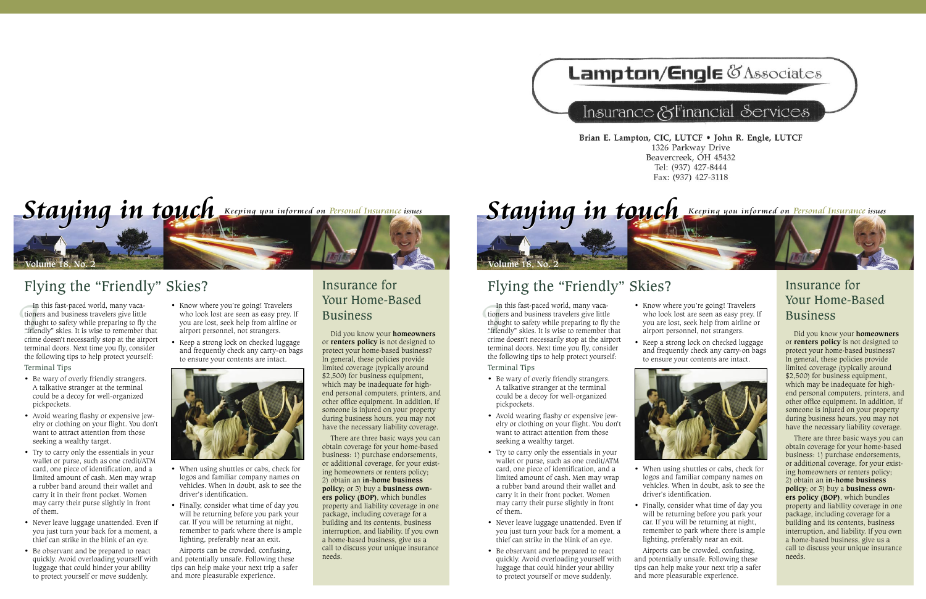## **Lampton/Engle & Associates**

### Insurance & Financial Services

Brian E. Lampton, CIC, LUTCF . John R. Engle, LUTCF 1326 Parkway Drive Beavercreek, OH 45432 Tel: (937) 427-8444 Fax: (937) 427-3118

# Staying in touch Keeping you informed on Personal Insurance issues **Volume 18, No. 2**

### Flying the "Friendly" Skies?

In<br>tione<br>thoug<br>"frien<br>crime" In this fast-paced world, many vacationers and business travelers give little thought to safety while preparing to fly the "friendly" skies. It is wise to remember that crime doesn't necessarily stop at the airport terminal doors. Next time you fly, consider the following tips to help protect yourself:

### Terminal Tips

- Be wary of overly friendly strangers. A talkative stranger at the terminal could be a decoy for well-organized pickpockets.
- Avoid wearing flashy or expensive jewelry or clothing on your flight. You don't want to attract attention from those seeking a wealthy target.
- Try to carry only the essentials in your wallet or purse, such as one credit/ATM card, one piece of identification, and a limited amount of cash. Men may wrap a rubber band around their wallet and carry it in their front pocket. Women may carry their purse slightly in front of them.
- Never leave luggage unattended. Even if you just turn your back for a moment, a thief can strike in the blink of an eye.
- Be observant and be prepared to react quickly. Avoid overloading yourself with luggage that could hinder your ability to protect yourself or move suddenly.
- Know where you're going! Travelers who look lost are seen as easy prey. If you are lost, seek help from airline or airport personnel, not strangers.
- Keep a strong lock on checked luggage and frequently check any carry-on bags to ensure your contents are intact.



- When using shuttles or cabs, check for logos and familiar company names on vehicles. When in doubt, ask to see the driver's identification.
- Finally, consider what time of day you will be returning before you park your car. If you will be returning at night, remember to park where there is ample lighting, preferably near an exit.

Airports can be crowded, confusing, and potentially unsafe. Following these tips can help make your next trip a safer and more pleasurable experience.

### Insurance for Your Home-Based Business

Did you know your **homeowners** or **renters policy** is not designed to protect your home-based business? In general, these policies provide limited coverage (typically around \$2,500) for business equipment, which may be inadequate for highend personal computers, printers, and other office equipment. In addition, if someone is injured on your property during business hours, you may not have the necessary liability coverage.

There are three basic ways you can obtain coverage for your home-based business: 1) purchase endorsements, or additional coverage, for your existing homeowners or renters policy; 2) obtain an **in-home business policy**; or 3) buy a **business owners policy (BOP)**, which bundles property and liability coverage in one package, including coverage for a building and its contents, business interruption, and liability. If you own a home-based business, give us a call to discuss your unique insurance needs.